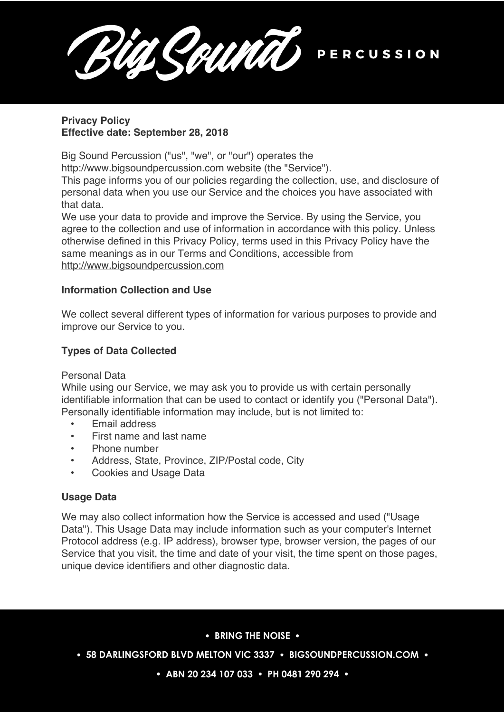SAUNTO PERCUSSION

## **Privacy Policy Effective date: September 28, 2018**

Big Sound Percussion ("us", "we", or "our") operates the

http://www.bigsoundpercussion.com website (the "Service").

This page informs you of our policies regarding the collection, use, and disclosure of personal data when you use our Service and the choices you have associated with that data.

We use your data to provide and improve the Service. By using the Service, you agree to the collection and use of information in accordance with this policy. Unless otherwise defined in this Privacy Policy, terms used in this Privacy Policy have the same meanings as in our Terms and Conditions, accessible from http://www.bigsoundpercussion.com

## **Information Collection and Use**

We collect several different types of information for various purposes to provide and improve our Service to you.

# **Types of Data Collected**

Personal Data

While using our Service, we may ask you to provide us with certain personally identifiable information that can be used to contact or identify you ("Personal Data"). Personally identifiable information may include, but is not limited to:

- Email address
- First name and last name
- Phone number
- Address, State, Province, ZIP/Postal code, City
- Cookies and Usage Data

## **Usage Data**

We may also collect information how the Service is accessed and used ("Usage Data"). This Usage Data may include information such as your computer's Internet Protocol address (e.g. IP address), browser type, browser version, the pages of our Service that you visit, the time and date of your visit, the time spent on those pages, unique device identifiers and other diagnostic data.

## **BRING THE NOISE**

**• 58 DARLINGSFORD BLVD MELTON VIC 3337 • BIGSOUNDPERCUSSION.COM •** 

 **ABN 20 234 107 033 PH 0481 290 294**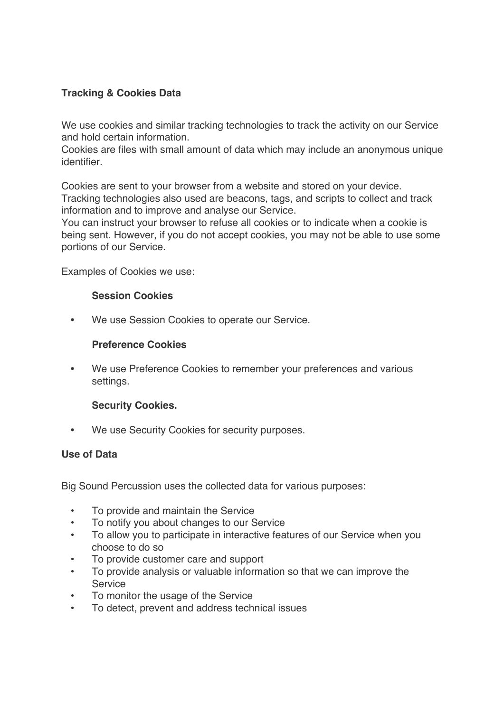# **Tracking & Cookies Data**

We use cookies and similar tracking technologies to track the activity on our Service and hold certain information.

Cookies are files with small amount of data which may include an anonymous unique identifier.

Cookies are sent to your browser from a website and stored on your device. Tracking technologies also used are beacons, tags, and scripts to collect and track information and to improve and analyse our Service.

You can instruct your browser to refuse all cookies or to indicate when a cookie is being sent. However, if you do not accept cookies, you may not be able to use some portions of our Service.

Examples of Cookies we use:

### **Session Cookies**

**•** We use Session Cookies to operate our Service.

### **Preference Cookies**

**•** We use Preference Cookies to remember your preferences and various settings.

### **Security Cookies.**

**•** We use Security Cookies for security purposes.

### **Use of Data**

Big Sound Percussion uses the collected data for various purposes:

- To provide and maintain the Service
- To notify you about changes to our Service
- To allow you to participate in interactive features of our Service when you choose to do so
- To provide customer care and support
- To provide analysis or valuable information so that we can improve the Service
- To monitor the usage of the Service
- To detect, prevent and address technical issues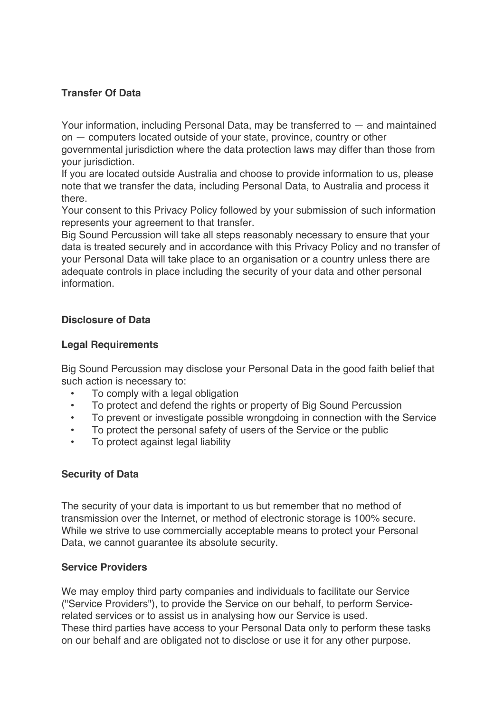## **Transfer Of Data**

Your information, including Personal Data, may be transferred to — and maintained on — computers located outside of your state, province, country or other governmental jurisdiction where the data protection laws may differ than those from your jurisdiction.

If you are located outside Australia and choose to provide information to us, please note that we transfer the data, including Personal Data, to Australia and process it there.

Your consent to this Privacy Policy followed by your submission of such information represents your agreement to that transfer.

Big Sound Percussion will take all steps reasonably necessary to ensure that your data is treated securely and in accordance with this Privacy Policy and no transfer of your Personal Data will take place to an organisation or a country unless there are adequate controls in place including the security of your data and other personal information.

## **Disclosure of Data**

### **Legal Requirements**

Big Sound Percussion may disclose your Personal Data in the good faith belief that such action is necessary to:

- To comply with a legal obligation
- To protect and defend the rights or property of Big Sound Percussion
- To prevent or investigate possible wrongdoing in connection with the Service
- To protect the personal safety of users of the Service or the public
- To protect against legal liability

## **Security of Data**

The security of your data is important to us but remember that no method of transmission over the Internet, or method of electronic storage is 100% secure. While we strive to use commercially acceptable means to protect your Personal Data, we cannot guarantee its absolute security.

### **Service Providers**

We may employ third party companies and individuals to facilitate our Service ("Service Providers"), to provide the Service on our behalf, to perform Servicerelated services or to assist us in analysing how our Service is used. These third parties have access to your Personal Data only to perform these tasks on our behalf and are obligated not to disclose or use it for any other purpose.